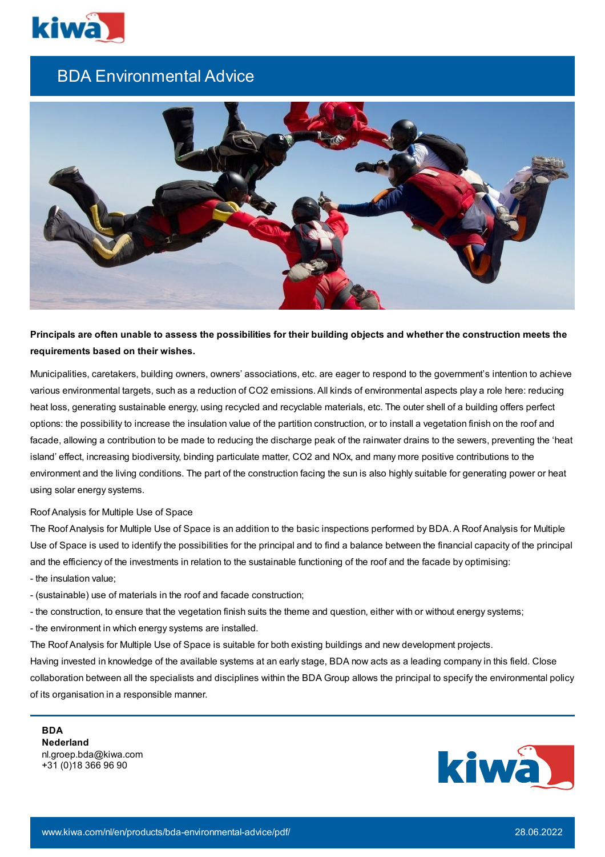

## BDA Environmental Advice



Principals are often unable to assess the possibilities for their building objects and whether the construction meets the **requirements based on their wishes.**

Municipalities, caretakers, building owners, owners' associations, etc. are eager to respond to the government's intention to achieve various environmental targets, such as a reduction of CO2 emissions. All kinds of environmental aspects play a role here: reducing heat loss, generating sustainable energy, using recycled and recyclable materials, etc. The outer shell of a building offers perfect options: the possibility to increase the insulation value of the partition construction, or to install a vegetation finish on the roof and facade, allowing a contribution to be made to reducing the discharge peak of the rainwater drains to the sewers, preventing the 'heat island' effect, increasing biodiversity, binding particulate matter, CO2 and NOx, and many more positive contributions to the environment and the living conditions. The part of the construction facing the sun is also highly suitable for generating power or heat using solar energy systems.

## Roof Analysis for Multiple Use of Space

The Roof Analysis for Multiple Use of Space is an addition to the basic inspections performed by BDA. A Roof Analysis for Multiple Use of Space is used to identify the possibilities for the principal and to find a balance between the financial capacity of the principal and the efficiency of the investments in relation to the sustainable functioning of the roof and the facade by optimising:

- the insulation value;
- (sustainable) use of materials in the roof and facade construction;
- the construction, to ensure that the vegetation finish suits the theme and question, either with or without energy systems;
- the environment in which energy systems are installed.

The Roof Analysis for Multiple Use of Space is suitable for both existing buildings and new development projects. Having invested in knowledge of the available systems at an early stage, BDA now acts as a leading company in this field. Close collaboration between all the specialists and disciplines within the BDA Group allows the principal to specify the environmental policy of its organisation in a responsible manner.

**BDA Nederland** nl.groep.bda@kiwa.com +31 (0)18 366 96 90